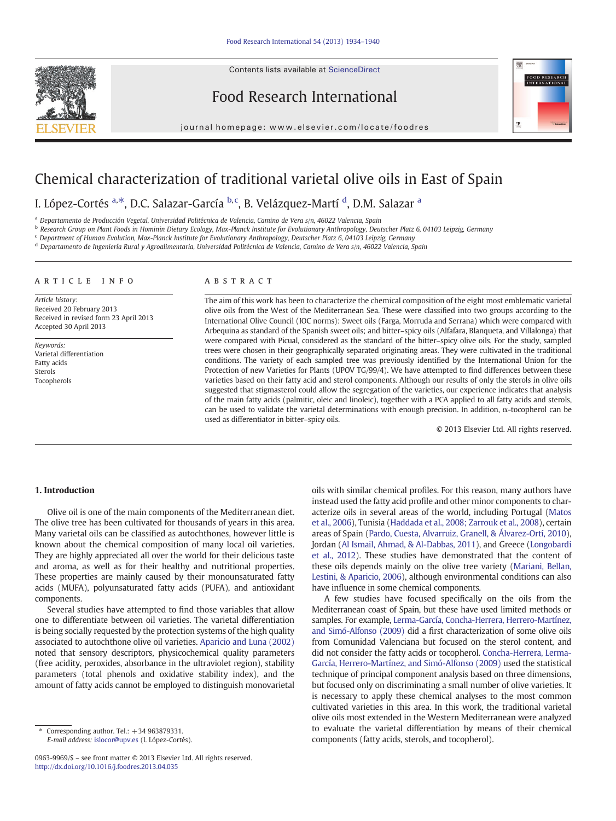Contents lists available at [ScienceDirect](http://www.sciencedirect.com/science/journal/09639969)



Food Research International



journal homepage: www.elsevier.com/locate/foodres

# Chemical characterization of traditional varietal olive oils in East of Spain

## I. López-Cortés <sup>a,\*</sup>, D.C. Salazar-García <sup>b,c</sup>, B. Velázquez-Martí <sup>d</sup>, D.M. Salazar <sup>a</sup>

<sup>a</sup> Departamento de Producción Vegetal, Universidad Politécnica de Valencia, Camino de Vera s/n, 46022 Valencia, Spain

<sup>b</sup> Research Group on Plant Foods in Hominin Dietary Ecology, Max-Planck Institute for Evolutionary Anthropology, Deutscher Platz 6, 04103 Leipzig, Germany

<sup>c</sup> Department of Human Evolution, Max-Planck Institute for Evolutionary Anthropology, Deutscher Platz 6, 04103 Leipzig, Germany

<sup>d</sup> Departamento de Ingeniería Rural y Agroalimentaria, Universidad Politécnica de Valencia, Camino de Vera s/n, 46022 Valencia, Spain

#### ARTICLE INFO ABSTRACT

Article history: Received 20 February 2013 Received in revised form 23 April 2013 Accepted 30 April 2013

Keywords: Varietal differentiation Fatty acids Sterols Tocopherols

The aim of this work has been to characterize the chemical composition of the eight most emblematic varietal olive oils from the West of the Mediterranean Sea. These were classified into two groups according to the International Olive Council (IOC norms): Sweet oils (Farga, Morruda and Serrana) which were compared with Arbequina as standard of the Spanish sweet oils; and bitter–spicy oils (Alfafara, Blanqueta, and Villalonga) that were compared with Picual, considered as the standard of the bitter–spicy olive oils. For the study, sampled trees were chosen in their geographically separated originating areas. They were cultivated in the traditional conditions. The variety of each sampled tree was previously identified by the International Union for the Protection of new Varieties for Plants (UPOV TG/99/4). We have attempted to find differences between these varieties based on their fatty acid and sterol components. Although our results of only the sterols in olive oils suggested that stigmasterol could allow the segregation of the varieties, our experience indicates that analysis of the main fatty acids (palmitic, oleic and linoleic), together with a PCA applied to all fatty acids and sterols, can be used to validate the varietal determinations with enough precision. In addition, α-tocopherol can be used as differentiator in bitter–spicy oils.

© 2013 Elsevier Ltd. All rights reserved.

### 1. Introduction

Olive oil is one of the main components of the Mediterranean diet. The olive tree has been cultivated for thousands of years in this area. Many varietal oils can be classified as autochthones, however little is known about the chemical composition of many local oil varieties. They are highly appreciated all over the world for their delicious taste and aroma, as well as for their healthy and nutritional properties. These properties are mainly caused by their monounsaturated fatty acids (MUFA), polyunsaturated fatty acids (PUFA), and antioxidant components.

Several studies have attempted to find those variables that allow one to differentiate between oil varieties. The varietal differentiation is being socially requested by the protection systems of the high quality associated to autochthone olive oil varieties. [Aparicio and Luna \(2002\)](#page-6-0) noted that sensory descriptors, physicochemical quality parameters (free acidity, peroxides, absorbance in the ultraviolet region), stability parameters (total phenols and oxidative stability index), and the amount of fatty acids cannot be employed to distinguish monovarietal

oils with similar chemical profiles. For this reason, many authors have instead used the fatty acid profile and other minor components to characterize oils in several areas of the world, including Portugal ([Matos](#page-6-0) [et al., 2006\)](#page-6-0), Tunisia [\(Haddada et al., 2008; Zarrouk et al., 2008](#page-6-0)), certain areas of Spain ([Pardo, Cuesta, Alvarruiz, Granell, & Álvarez-Ortí, 2010\)](#page-6-0), Jordan [\(Al Ismail, Ahmad, & Al-Dabbas, 2011](#page-6-0)), and Greece ([Longobardi](#page-6-0) [et al., 2012\)](#page-6-0). These studies have demonstrated that the content of these oils depends mainly on the olive tree variety ([Mariani, Bellan,](#page-6-0) [Lestini, & Aparicio, 2006](#page-6-0)), although environmental conditions can also have influence in some chemical components.

A few studies have focused specifically on the oils from the Mediterranean coast of Spain, but these have used limited methods or samples. For example, [Lerma-García, Concha-Herrera, Herrero-Martínez,](#page-6-0) [and Simó-Alfonso \(2009\)](#page-6-0) did a first characterization of some olive oils from Comunidad Valenciana but focused on the sterol content, and did not consider the fatty acids or tocopherol. [Concha-Herrera, Lerma-](#page-6-0)[García, Herrero-Martínez, and Simó-Alfonso \(2009\)](#page-6-0) used the statistical technique of principal component analysis based on three dimensions, but focused only on discriminating a small number of olive varieties. It is necessary to apply these chemical analyses to the most common cultivated varieties in this area. In this work, the traditional varietal olive oils most extended in the Western Mediterranean were analyzed to evaluate the varietal differentiation by means of their chemical components (fatty acids, sterols, and tocopherol).

Corresponding author. Tel.:  $+34$  963879331. E-mail address: [islocor@upv.es](mailto:islocor@upv.es) (I. López-Cortés).

<sup>0963-9969/\$</sup> – see front matter © 2013 Elsevier Ltd. All rights reserved. <http://dx.doi.org/10.1016/j.foodres.2013.04.035>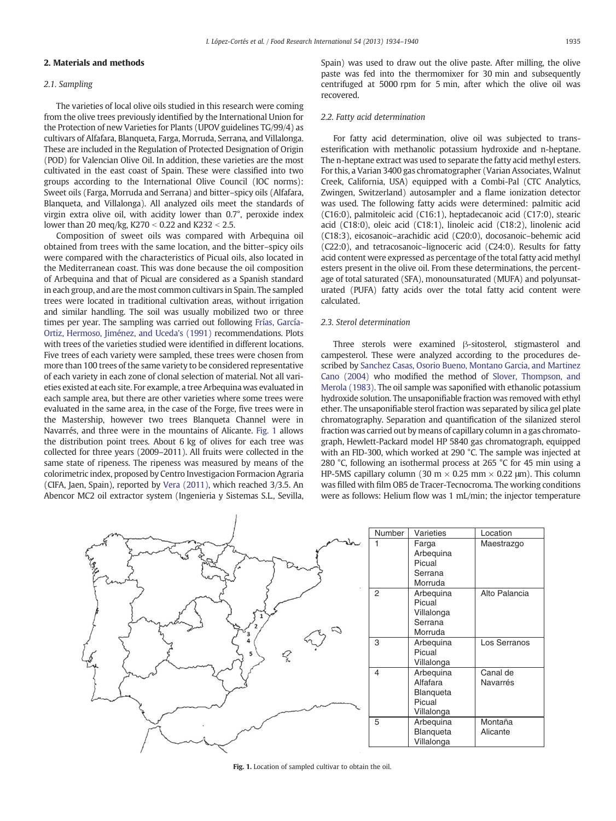#### 2. Materials and methods

#### 2.1. Sampling

The varieties of local olive oils studied in this research were coming from the olive trees previously identified by the International Union for the Protection of new Varieties for Plants (UPOV guidelines TG/99/4) as cultivars of Alfafara, Blanqueta, Farga, Morruda, Serrana, and Villalonga. These are included in the Regulation of Protected Designation of Origin (POD) for Valencian Olive Oil. In addition, these varieties are the most cultivated in the east coast of Spain. These were classified into two groups according to the International Olive Council (IOC norms): Sweet oils (Farga, Morruda and Serrana) and bitter–spicy oils (Alfafara, Blanqueta, and Villalonga). All analyzed oils meet the standards of virgin extra olive oil, with acidity lower than 0.7°, peroxide index lower than 20 meg/kg, K270  $\le$  0.22 and K232  $\le$  2.5.

Composition of sweet oils was compared with Arbequina oil obtained from trees with the same location, and the bitter–spicy oils were compared with the characteristics of Picual oils, also located in the Mediterranean coast. This was done because the oil composition of Arbequina and that of Picual are considered as a Spanish standard in each group, and are the most common cultivars in Spain. The sampled trees were located in traditional cultivation areas, without irrigation and similar handling. The soil was usually mobilized two or three times per year. The sampling was carried out following [Frías, García-](#page-6-0)[Ortiz, Hermoso, Jiménez, and Uceda's \(1991\)](#page-6-0) recommendations. Plots with trees of the varieties studied were identified in different locations. Five trees of each variety were sampled, these trees were chosen from more than 100 trees of the same variety to be considered representative of each variety in each zone of clonal selection of material. Not all varieties existed at each site. For example, a tree Arbequina was evaluated in each sample area, but there are other varieties where some trees were evaluated in the same area, in the case of the Forge, five trees were in the Mastership, however two trees Blanqueta Channel were in Navarrés, and three were in the mountains of Alicante. Fig. 1 allows the distribution point trees. About 6 kg of olives for each tree was collected for three years (2009–2011). All fruits were collected in the same state of ripeness. The ripeness was measured by means of the colorimetric index, proposed by Centro Investigacion Formacion Agraria (CIFA, Jaen, Spain), reported by [Vera \(2011\)](#page-6-0), which reached 3/3.5. An Abencor MC2 oil extractor system (Ingenieria y Sistemas S.L., Sevilla,

Spain) was used to draw out the olive paste. After milling, the olive paste was fed into the thermomixer for 30 min and subsequently centrifuged at 5000 rpm for 5 min, after which the olive oil was recovered.

#### 2.2. Fatty acid determination

For fatty acid determination, olive oil was subjected to transesterification with methanolic potassium hydroxide and n-heptane. The n-heptane extract was used to separate the fatty acid methyl esters. For this, a Varian 3400 gas chromatographer (Varian Associates, Walnut Creek, California, USA) equipped with a Combi-Pal (CTC Analytics, Zwingen, Switzerland) autosampler and a flame ionization detector was used. The following fatty acids were determined: palmitic acid (C16:0), palmitoleic acid (C16:1), heptadecanoic acid (C17:0), stearic acid (C18:0), oleic acid (C18:1), linoleic acid (C18:2), linolenic acid (C18:3), eicosanoic–arachidic acid (C20:0), docosanoic–behemic acid (C22:0), and tetracosanoic–lignoceric acid (C24:0). Results for fatty acid content were expressed as percentage of the total fatty acid methyl esters present in the olive oil. From these determinations, the percentage of total saturated (SFA), monounsaturated (MUFA) and polyunsaturated (PUFA) fatty acids over the total fatty acid content were calculated.

#### 2.3. Sterol determination

Three sterols were examined β-sitosterol, stigmasterol and campesterol. These were analyzed according to the procedures described by [Sanchez Casas, Osorio Bueno, Montano Garcia, and Martinez](#page-6-0) [Cano \(2004\)](#page-6-0) who modified the method of [Slover, Thompson, and](#page-6-0) [Merola \(1983\).](#page-6-0) The oil sample was saponified with ethanolic potassium hydroxide solution. The unsaponifiable fraction was removed with ethyl ether. The unsaponifiable sterol fraction was separated by silica gel plate chromatography. Separation and quantification of the silanized sterol fraction was carried out by means of capillary column in a gas chromatograph, Hewlett-Packard model HP 5840 gas chromatograph, equipped with an FID-300, which worked at 290 °C. The sample was injected at 280 °C, following an isothermal process at 265 °C for 45 min using a HP-5MS capillary column (30 m  $\times$  0.25 mm  $\times$  0.22 µm). This column was filled with film OB5 de Tracer-Tecnocroma. The working conditions were as follows: Helium flow was 1 mL/min; the injector temperature



Fig. 1. Location of sampled cultivar to obtain the oil.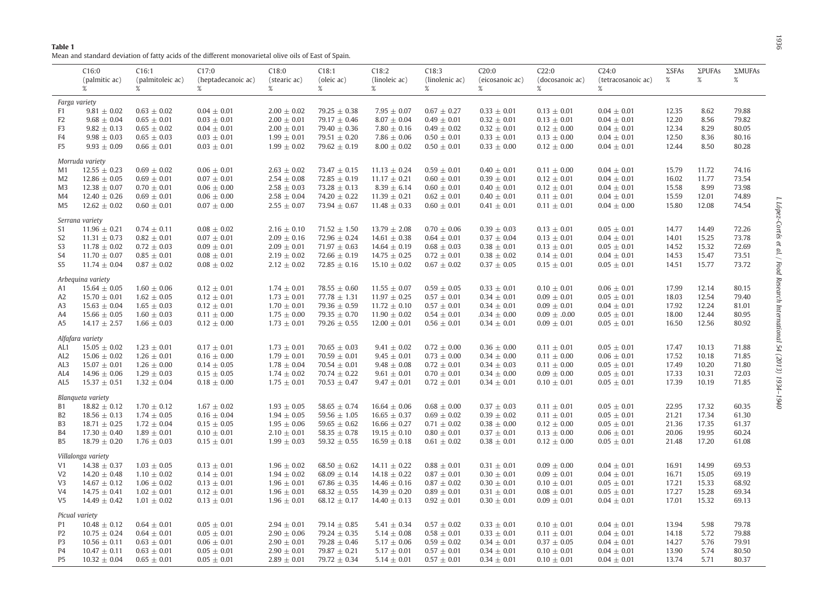<span id="page-2-0"></span>

| Table 1 |  |                                                                                                       |
|---------|--|-------------------------------------------------------------------------------------------------------|
|         |  | Mean and standard deviation of fatty acids of the different monovarietal olive oils of East of Spain. |

|                                  | C16:0<br>(palmitic ac)<br>$\%$       | C16:1<br>(palmitoleic ac)<br>%     | C17:0<br>(heptadecanoic ac)<br>%   | C18:0<br>(stearic ac)<br>%         | C18:1<br>(oleic ac)<br>$\%$          | C18:2<br>(linoleic ac)<br>%          | C18:3<br>(linolenic ac)<br>%       | C20:0<br>(eicosanoic ac)<br>$\%$   | C22:0<br>(docosanoic ac)<br>%      | C24:0<br>(tetracosanoic ac)<br>%   | <b>ΣSFAs</b><br>$\%$ | <b>ΣPUFAs</b><br>$\%$ | $\Sigma$ MUFAs<br>$\%$ |
|----------------------------------|--------------------------------------|------------------------------------|------------------------------------|------------------------------------|--------------------------------------|--------------------------------------|------------------------------------|------------------------------------|------------------------------------|------------------------------------|----------------------|-----------------------|------------------------|
|                                  | Farga variety                        |                                    |                                    |                                    |                                      |                                      |                                    |                                    |                                    |                                    |                      |                       |                        |
| F1                               | $9.81 \pm 0.02$                      | $0.63 \pm 0.02$                    | $0.04 \pm 0.01$                    | $2.00 \pm 0.02$                    | $79.25 \pm 0.38$                     | $7.95 \pm 0.07$                      | $0.67 \pm 0.27$                    | $0.33 \pm 0.01$                    | $0.13 \pm 0.01$                    | $0.04 \pm 0.01$                    | 12.35                | 8.62                  | 79.88                  |
| F <sub>2</sub>                   | $9.68 \pm 0.04$                      | $0.65 \pm 0.01$                    | $0.03 \pm 0.01$                    | $2.00 \pm 0.01$                    | $79.17 \pm 0.46$                     | $8.07 \pm 0.04$                      | $0.49 \pm 0.01$                    | $0.32 \pm 0.01$                    | $0.13 \pm 0.01$                    | $0.04 \pm 0.01$                    | 12.20                | 8.56                  | 79.82                  |
| F3                               | $9.82 \pm 0.13$                      | $0.65 \pm 0.02$                    | $0.04 \pm 0.01$                    | $2.00 \pm 0.01$                    | $79.40 \pm 0.36$                     | $7.80 \pm 0.16$                      | $0.49 \pm 0.02$                    | $0.32 \pm 0.01$                    | $0.12 \pm 0.00$                    | $0.04 \pm 0.01$                    | 12.34                | 8.29                  | 80.05                  |
| F4                               | $9.98 \pm 0.03$                      | $0.65 \pm 0.03$                    | $0.03 \pm 0.01$                    | $1.99 \pm 0.01$                    | 79.51 $\pm$ 0.20                     | 7.86 $\pm$ 0.06                      | $0.50 \pm 0.01$                    | $0.33 \pm 0.01$                    | $0.13 \pm 0.00$                    | $0.04 \pm 0.01$                    | 12.50                | 8.36                  | 80.16                  |
| F <sub>5</sub>                   | $9.93 \pm 0.09$                      | $0.66 \pm 0.01$                    | $0.03 \pm 0.01$                    | $1.99 \pm 0.02$                    | 79.62 $\pm$ 0.19                     | $8.00 \pm 0.02$                      | $0.50 \pm 0.01$                    | $0.33 \pm 0.00$                    | $0.12 \pm 0.00$                    | $0.04 \pm 0.01$                    | 12.44                | 8.50                  | 80.28                  |
|                                  | Morruda variety                      |                                    |                                    |                                    |                                      |                                      |                                    |                                    |                                    |                                    |                      |                       |                        |
| M1                               | $12.55 \pm 0.23$                     | $0.69 \pm 0.02$                    | $0.06 \pm 0.01$                    | $2.63 \pm 0.02$                    | $73.47 \pm 0.15$                     | $11.13 \pm 0.24$                     | $0.59 \pm 0.01$                    | $0.40 \pm 0.01$                    | $0.11 \pm 0.00$                    | $0.04 \pm 0.01$                    | 15.79                | 11.72                 | 74.16                  |
| M <sub>2</sub>                   | $12.86 \pm 0.05$                     | $0.69 \pm 0.01$                    | $0.07 \pm 0.01$                    | $2.54 \pm 0.08$                    | $72.85 \pm 0.19$                     | $11.17 \pm 0.21$                     | $0.60 \pm 0.01$                    | $0.39 \pm 0.01$                    | $0.12 \pm 0.01$                    | $0.04 \pm 0.01$                    | 16.02                | 11.77                 | 73.54                  |
| M <sub>3</sub>                   | $12.38 \pm 0.07$                     | $0.70 \pm 0.01$                    | $0.06 \pm 0.00$                    | $2.58 \pm 0.03$                    | $73.28 \pm 0.13$                     | $8.39 \pm 6.14$                      | $0.60 \pm 0.01$                    | $0.40 \pm 0.01$                    | $0.12 \pm 0.01$                    | $0.04 \pm 0.01$                    | 15.58                | 8.99                  | 73.98                  |
| M4                               | $12.40 \pm 0.26$                     | $0.69 \pm 0.01$                    | $0.06 \pm 0.00$                    | $2.58 \pm 0.04$                    | $74.20 \pm 0.22$                     | $11.39 \pm 0.21$                     | $0.62 \pm 0.01$                    | $0.40 \pm 0.01$                    | $0.11 \pm 0.01$                    | $0.04 \pm 0.01$                    | 15.59                | 12.01                 | 74.89                  |
| M <sub>5</sub>                   | $12.62 \pm 0.02$                     | $0.60 \pm 0.01$                    | $0.07 \pm 0.00$                    | $2.55 \pm 0.07$                    | 73.94 $\pm$ 0.67                     | $11.48 \pm 0.33$                     | $0.60 \pm 0.01$                    | $0.41 \pm 0.01$                    | $0.11 \pm 0.01$                    | $0.04 \pm 0.00$                    | 15.80                | 12.08                 | 74.54                  |
|                                  | Serrana variety                      |                                    |                                    |                                    |                                      |                                      |                                    |                                    |                                    |                                    |                      |                       |                        |
| S1                               | $11.96 \pm 0.21$                     | $0.74 \pm 0.11$                    | $0.08 \pm 0.02$                    | $2.16 \pm 0.10$                    | $71.52 \pm 1.50$                     | $13.79 \pm 2.08$                     | $0.70 \pm 0.06$                    | $0.39 \pm 0.03$                    | $0.13 \pm 0.01$                    | $0.05 \pm 0.01$                    | 14.77                | 14.49                 | 72.26                  |
| S <sub>2</sub>                   | $11.31 \pm 0.73$                     | $0.82 \pm 0.01$<br>$0.72 \pm 0.03$ | $0.07 \pm 0.01$                    | $2.09 \pm 0.16$<br>$2.09 \pm 0.01$ | $72.96 \pm 0.24$<br>$71.97 \pm 0.63$ | $14.61 \pm 0.38$                     | $0.64 \pm 0.01$                    | $0.37 \pm 0.04$                    | $0.13 \pm 0.01$                    | $0.04 \pm 0.01$                    | 14.01                | 15.25<br>15.32        | 73.78                  |
| S <sub>3</sub><br>S <sub>4</sub> | $11.78 \pm 0.02$<br>$11.70 \pm 0.07$ | $0.85 \pm 0.01$                    | $0.09 \pm 0.01$<br>$0.08 \pm 0.01$ | $2.19 \pm 0.02$                    | $72.66 \pm 0.19$                     | $14.64 \pm 0.19$<br>$14.75 \pm 0.25$ | $0.68 \pm 0.03$<br>$0.72 \pm 0.01$ | $0.38 \pm 0.01$<br>$0.38 \pm 0.02$ | $0.13 \pm 0.01$<br>$0.14 \pm 0.01$ | $0.05 \pm 0.01$<br>$0.04 \pm 0.01$ | 14.52<br>14.53       | 15.47                 | 72.69<br>73.51         |
| S <sub>5</sub>                   | $11.74 \pm 0.04$                     | $0.87 \pm 0.02$                    | $0.08 \pm 0.02$                    | $2.12 \pm 0.02$                    | $72.85 \pm 0.16$                     | $15.10 \pm 0.02$                     | $0.67 \pm 0.02$                    | $0.37 \pm 0.05$                    | $0.15 \pm 0.01$                    | $0.05 \pm 0.01$                    | 14.51                | 15.77                 | 73.72                  |
|                                  |                                      |                                    |                                    |                                    |                                      |                                      |                                    |                                    |                                    |                                    |                      |                       |                        |
|                                  | Arbequina variety                    |                                    |                                    |                                    |                                      |                                      |                                    |                                    |                                    |                                    |                      |                       |                        |
| A1                               | $15.64 \pm 0.05$                     | $1.60 \pm 0.06$                    | $0.12 \pm 0.01$                    | $1.74 \pm 0.01$                    | $78.55 \pm 0.60$<br>$77.78 \pm 1.31$ | $11.55 \pm 0.07$                     | $0.59 \pm 0.05$                    | $0.33 \pm 0.01$<br>$0.34 \pm 0.01$ | $0.10 \pm 0.01$                    | $0.06 \pm 0.01$                    | 17.99                | 12.14<br>12.54        | 80.15<br>79.40         |
| A <sub>2</sub><br>A3             | $15.70 \pm 0.01$<br>$15.63 \pm 0.04$ | $1.62 \pm 0.05$<br>$1.65 \pm 0.03$ | $0.12 \pm 0.01$<br>$0.12 \pm 0.01$ | $1.73 \pm 0.01$<br>$1.70 \pm 0.01$ | 79.36 $\pm$ 0.59                     | $11.97 \pm 0.25$<br>$11.72 \pm 0.10$ | $0.57 \pm 0.01$<br>$0.57 \pm 0.01$ | $0.34 \pm 0.01$                    | $0.09 \pm 0.01$<br>$0.09 \pm 0.01$ | $0.05 \pm 0.01$<br>$0.04 \pm 0.01$ | 18.03<br>17.92       | 12.24                 | 81.01                  |
| A4                               | $15.66 \pm 0.05$                     | $1.60 \pm 0.03$                    | $0.11 \pm 0.00$                    | $1.75 \pm 0.00$                    | $79.35 \pm 0.70$                     | $11.90 \pm 0.02$                     | $0.54\,\pm\,0.01$                  | $.0.34 \pm 0.00$                   | $0.09 \pm .0.00$                   | $0.05 \pm 0.01$                    | 18.00                | 12.44                 | 80.95                  |
| A <sub>5</sub>                   | $14.17 \pm 2.57$                     | $1.66 \pm 0.03$                    | $0.12 \pm 0.00$                    | $1.73 \pm 0.01$                    | 79.26 $\pm$ 0.55                     | $12.00 \pm 0.01$                     | $0.56 \pm 0.01$                    | $0.34 \pm 0.01$                    | $0.09 \pm 0.01$                    | $0.05 \pm 0.01$                    | 16.50                | 12.56                 | 80.92                  |
|                                  |                                      |                                    |                                    |                                    |                                      |                                      |                                    |                                    |                                    |                                    |                      |                       |                        |
| AL1                              | Alfafara variety<br>$15.05 \pm 0.02$ | $1.23 \pm 0.01$                    | $0.17 \pm 0.01$                    | $1.73 \pm 0.01$                    | $70.65 \pm 0.03$                     | $9.41 \pm 0.02$                      | $0.72 \pm 0.00$                    | $0.36 \pm 0.00$                    | $0.11 \pm 0.01$                    | $0.05 \pm 0.01$                    | 17.47                | 10.13                 | 71.88                  |
| AL2                              | $15.06 \pm 0.02$                     | $1.26 \pm 0.01$                    | $0.16 \pm 0.00$                    | $1.79 \pm 0.01$                    | $70.59 \pm 0.01$                     | $9.45 \pm 0.01$                      | $0.73 \pm 0.00$                    | $0.34 \pm 0.00$                    | $0.11 \pm 0.00$                    | $0.06 \pm 0.01$                    | 17.52                | 10.18                 | 71.85                  |
| AL3                              | $15.07 \pm 0.01$                     | $1.26 \pm 0.00$                    | $0.14 \pm 0.05$                    | $1.78 \pm 0.04$                    | $70.54 \pm 0.01$                     | $9.48 \pm 0.08$                      | $0.72 \pm 0.01$                    | $0.34 \pm 0.03$                    | $0.11 \pm 0.00$                    | $0.05 \pm 0.01$                    | 17.49                | 10.20                 | 71.80                  |
| AL4                              | $14.96 \pm 0.06$                     | $1.29 \pm 0.03$                    | $0.15 \pm 0.05$                    | $1.74 \pm 0.02$                    | $70.74 \pm 0.22$                     | $9.61 \pm 0.01$                      | $0.70 \pm 0.01$                    | $0.34 \pm 0.00$                    | $0.09 \pm 0.00$                    | $0.05 \pm 0.01$                    | 17.33                | 10.31                 | 72.03                  |
| AL5                              | $15.37 \pm 0.51$                     | $1.32 \pm 0.04$                    | $0.18 \pm 0.00$                    | $1.75 \pm 0.01$                    | $70.53 \pm 0.47$                     | $9.47 \pm 0.01$                      | $0.72 \pm 0.01$                    | $0.34 \pm 0.01$                    | $0.10 \pm 0.01$                    | $0.05 \pm 0.01$                    | 17.39                | 10.19                 | 71.85                  |
|                                  | Blanqueta variety                    |                                    |                                    |                                    |                                      |                                      |                                    |                                    |                                    |                                    |                      |                       |                        |
| <b>B1</b>                        | $18.82 \pm 0.12$                     | $1.70 \pm 0.12$                    | $1.67 \pm 0.02$                    | $1.93 \pm 0.05$                    | 58.65 $\pm$ 0.74                     | $16.64 \pm 0.06$                     | $0.68 \pm 0.00$                    | $0.37 \pm 0.03$                    | $0.11 \pm 0.01$                    | $0.05 \pm 0.01$                    | 22.95                | 17.32                 | 60.35                  |
| B <sub>2</sub>                   | $18.56 \pm 0.13$                     | $1.74 \pm 0.05$                    | $0.16 \pm 0.04$                    | $1.94 \pm 0.05$                    | 59.56 $\pm$ 1.05                     | $16.65 \pm 0.37$                     | $0.69 \pm 0.02$                    | $0.39 \pm 0.02$                    | $0.11 \pm 0.01$                    | $0.05 \pm 0.01$                    | 21.21                | 17.34                 | 61.30                  |
| B3                               | $18.71 \pm 0.25$                     | $1.72 \pm 0.04$                    | $0.15 \pm 0.05$                    | $1.95 \pm 0.06$                    | 59.65 $\pm$ 0.62                     | $16.66 \pm 0.27$                     | $0.71 \pm 0.02$                    | $0.38 \pm 0.00$                    | $0.12 \pm 0.00$                    | $0.05 \pm 0.01$                    | 21.36                | 17.35                 | 61.37                  |
| B <sub>4</sub>                   | $17.30 \pm 0.40$                     | $1.89 \pm 0.01$                    | $0.10 \pm 0.01$                    | $2.10 \pm 0.01$                    | 58.35 $\pm$ 0.78                     | $19.15 \pm 0.10$                     | $0.80 \pm 0.01$                    | $0.37 \pm 0.01$                    | $0.13 \pm 0.00$                    | $0.06 \pm 0.01$                    | 20.06                | 19.95                 | 60.24                  |
| B <sub>5</sub>                   | $18.79 \pm 0.20$                     | $1.76 \pm 0.03$                    | $0.15 \pm 0.01$                    | $1.99 \pm 0.03$                    | 59.32 $\pm$ 0.55                     | $16.59 \pm 0.18$                     | $0.61 \pm 0.02$                    | $0.38 \pm 0.01$                    | $0.12 \pm 0.00$                    | $0.05 \pm 0.01$                    | 21.48                | 17.20                 | 61.08                  |
|                                  | Villalonga variety                   |                                    |                                    |                                    |                                      |                                      |                                    |                                    |                                    |                                    |                      |                       |                        |
| V1                               | $14.38 \pm 0.37$                     | $1.03 \pm 0.05$                    | $0.13 \pm 0.01$                    | $1.96 \pm 0.02$                    | $68.50 \pm 0.62$                     | $14.11 \pm 0.22$                     | $0.88 \pm 0.01$                    | $0.31 \pm 0.01$                    | $0.09 \pm 0.00$                    | $0.04 \pm 0.01$                    | 16.91                | 14.99                 | 69.53                  |
| V <sub>2</sub>                   | $14.20 \pm 0.48$                     | $1.10 \pm 0.02$                    | $0.14 \pm 0.01$                    | $1.94 \pm 0.02$                    | $68.09 \pm 0.14$                     | $14.18 \pm 0.22$                     | $0.87 \pm 0.01$                    | $0.30 \pm 0.01$                    | $0.09 \pm 0.01$                    | $0.04 \pm 0.01$                    | 16.71                | 15.05                 | 69.19                  |
| V3                               | $14.67 \pm 0.12$                     | $1.06 \pm 0.02$                    | $0.13 \pm 0.01$                    | $1.96 \pm 0.01$                    | $67.86 \pm 0.35$                     | $14.46 \pm 0.16$                     | $0.87 \pm 0.02$                    | $0.30 \pm 0.01$                    | $0.10 \pm 0.01$                    | $0.05 \pm 0.01$                    | 17.21                | 15.33                 | 68.92                  |
| V <sub>4</sub>                   | $14.75 \pm 0.41$                     | $1.02 \pm 0.01$                    | $0.12 \pm 0.01$                    | $1.96 \pm 0.01$                    | $68.32 \pm 0.55$                     | $14.39 \pm 0.20$                     | $0.89 \pm 0.01$                    | $0.31 \pm 0.01$                    | $0.08 \pm 0.01$                    | $0.05 \pm 0.01$                    | 17.27                | 15.28                 | 69.34                  |
| V <sub>5</sub>                   | $14.49 \pm 0.42$                     | $1.01 \pm 0.02$                    | $0.13 \pm 0.01$                    | $1.96 \pm 0.01$                    | $68.12 \pm 0.17$                     | $14.40 \pm 0.13$                     | $0.92 \pm 0.01$                    | $0.30 \pm 0.01$                    | $0.09 \pm 0.01$                    | $0.04 \pm 0.01$                    | 17.01                | 15.32                 | 69.13                  |
|                                  | Picual variety                       |                                    |                                    |                                    |                                      |                                      |                                    |                                    |                                    |                                    |                      |                       |                        |
| P1                               | $10.48 \pm 0.12$                     | $0.64 \pm 0.01$                    | $0.05 \pm 0.01$                    | $2.94 \pm 0.01$                    | 79.14 $\pm$ 0.85                     | $5.41 \pm 0.34$                      | $0.57 \pm 0.02$                    | $0.33 \pm 0.01$                    | $0.10 \pm 0.01$                    | $0.04 \pm 0.01$                    | 13.94                | 5.98                  | 79.78                  |
| P <sub>2</sub>                   | $10.75 \pm 0.24$                     | $0.64 \pm 0.01$                    | $0.05 \pm 0.01$                    | $2.90 \pm 0.06$                    | $79.24 \pm 0.35$                     | $5.14 \pm 0.08$                      | $0.58 \pm 0.01$                    | $0.33 \pm 0.01$                    | $0.11 \pm 0.01$                    | $0.04 \pm 0.01$                    | 14.18                | 5.72                  | 79.88                  |
| P3                               | $10.56 \pm 0.11$                     | $0.63 \pm 0.01$                    | $0.06 \pm 0.01$                    | $2.90 \pm 0.01$                    | 79.28 $\pm$ 0.46                     | $5.17 \pm 0.06$                      | $0.59 \pm 0.02$                    | $0.34 \pm 0.01$                    | $0.37 \pm 0.05$                    | $0.04 \pm 0.01$                    | 14.27<br>13.90       | 5.76                  | 79.91                  |
| P4<br>P <sub>5</sub>             | $10.47 \pm 0.11$<br>$10.32 \pm 0.04$ | $0.63 \pm 0.01$<br>$0.65 \pm 0.01$ | $0.05 \pm 0.01$<br>$0.05 \pm 0.01$ | $2.90 \pm 0.01$<br>$2.89 \pm 0.01$ | 79.87 $\pm$ 0.21<br>$79.72 \pm 0.34$ | $5.17 \pm 0.01$<br>$5.14 \pm 0.01$   | $0.57 \pm 0.01$<br>$0.57 \pm 0.01$ | $0.34 \pm 0.01$<br>$0.34 \pm 0.01$ | $0.10 \pm 0.01$<br>$0.10 \pm 0.01$ | $0.04 \pm 0.01$<br>$0.04 \pm 0.01$ | 13.74                | 5.74<br>5.71          | 80.50<br>80.37         |
|                                  |                                      |                                    |                                    |                                    |                                      |                                      |                                    |                                    |                                    |                                    |                      |                       |                        |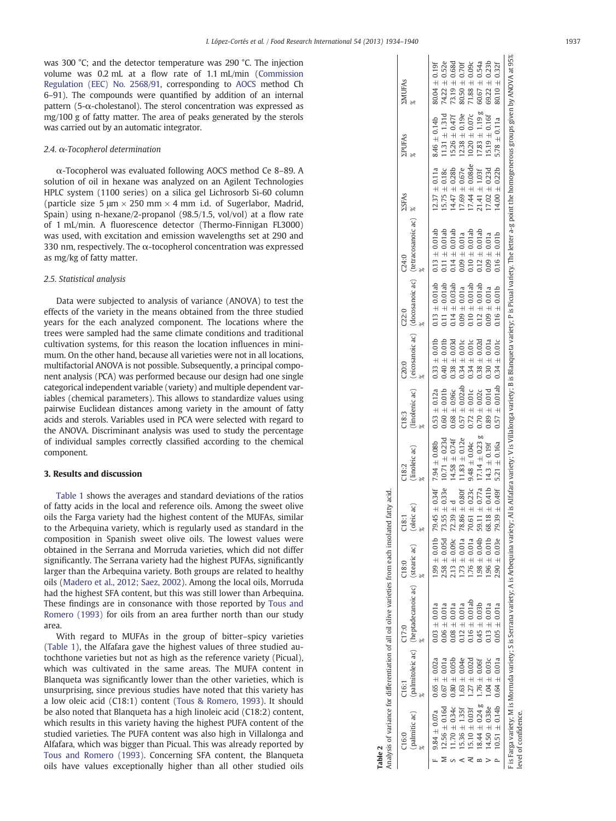<span id="page-3-0"></span>was 300 °C; and the detector temperature was 290 °C. The injection volume was 0.2 mL at a flow rate of 1.1 mL/min [\(Commission](#page-6-0) [Regulation \(EEC\) No. 2568/91,](#page-6-0) corresponding to [AOCS](#page-6-0) method Ch 6–91). The compounds were quantified by addition of an internal pattern (5-α-cholestanol). The sterol concentration was expressed as mg/100 g of fatty matter. The area of peaks generated by the sterols was carried out by an automatic integrator.

#### 2.4. α-Tocopherol determination

α-Tocopherol was evaluated following AOCS method Ce 8–89. A solution of oil in hexane was analyzed on an Agilent Technologies HPLC system (1100 series) on a silica gel Lichrosorb Si-60 column (particle size 5  $\mu$ m  $\times$  250 mm  $\times$  4 mm i.d. of Sugerlabor, Madrid, Spain) using n-hexane/2-propanol (98.5/1.5, vol/vol) at a flow rate of 1 mL/min. A fluorescence detector (Thermo-Finnigan FL3000) was used, with excitation and emission wavelengths set at 290 and 330 nm, respectively. The  $\alpha$ -tocopherol concentration was expressed as mg/kg of fatty matter.

#### 2.5. Statistical analysis

Data were subjected to analysis of variance (ANOVA) to test the effects of the variety in the means obtained from the three studied years for the each analyzed component. The locations where the trees were sampled had the same climate conditions and traditional cultivation systems, for this reason the location influences in minimum. On the other hand, because all varieties were not in all locations, multifactorial ANOVA is not possible. Subsequently, a principal component analysis (PCA) was performed because our design had one single categorical independent variable (variety) and multiple dependent variables (chemical parameters). This allows to standardize values using pairwise Euclidean distances among variety in the amount of fatty acids and sterols. Variables used in PCA were selected with regard to the ANOVA. Discriminant analysis was used to study the percentage of individual samples correctly classified according to the chemical component.

#### 3. Results and discussion

[Table 1](#page-2-0) shows the averages and standard deviations of the ratios of fatty acids in the local and reference oils. Among the sweet olive oils the Farga variety had the highest content of the MUFAs, similar to the Arbequina variety, which is regularly used as standard in the composition in Spanish sweet olive oils. The lowest values were obtained in the Serrana and Morruda varieties, which did not differ significantly. The Serrana variety had the highest PUFAs, significantly larger than the Arbequina variety. Both groups are related to healthy oils [\(Madero et al., 2012; Saez, 2002](#page-6-0)). Among the local oils, Morruda had the highest SFA content, but this was still lower than Arbequina. These findings are in consonance with those reported by [Tous and](#page-6-0) [Romero \(1993\)](#page-6-0) for oils from an area further north than our study area.

With regard to MUFAs in the group of bitter–spicy varieties [\(Table 1](#page-2-0)), the Alfafara gave the highest values of three studied autochthone varieties but not as high as the reference variety (Picual), which was cultivated in the same areas. The MUFA content in Blanqueta was significantly lower than the other varieties, which is unsurprising, since previous studies have noted that this variety has a low oleic acid (C18:1) content [\(Tous & Romero, 1993\)](#page-6-0). It should be also noted that Blanqueta has a high linoleic acid (C18:2) content, which results in this variety having the highest PUFA content of the studied varieties. The PUFA content was also high in Villalonga and Alfafara, which was bigger than Picual. This was already reported by [Tous and Romero \(1993\)](#page-6-0). Concerning SFA content, the Blanqueta oils have values exceptionally higher than all other studied oils

|                                      |                   | Analysis of variance for differentiation of all oil olive varieties from each insolated fatty acid. |                         |                                     |                          |                         |                    |                    |                                                             |                        |                   |                    |
|--------------------------------------|-------------------|-----------------------------------------------------------------------------------------------------|-------------------------|-------------------------------------|--------------------------|-------------------------|--------------------|--------------------|-------------------------------------------------------------|------------------------|-------------------|--------------------|
| C16:0                                | C16:1             | palmitic ac) (palmitoleic ac) (heptadecanoic ac) (stearic ac)<br>C17:0                              | C18:0                   | C18:1<br>(oleic                     | linoleic ac)<br>C18:2    | (linolenic ac)<br>C18:3 | C20:0              | C22:0              | (eicosanoic ac) (docosanoic ac) (tetracosanoic ac)<br>C24:0 | <b>ZSFAS</b>           | <b>ZPUFAS</b>     | <b>ZMUFAS</b>      |
|                                      |                   |                                                                                                     |                         |                                     |                          |                         |                    |                    |                                                             |                        |                   |                    |
| $F = 9.84 \pm 0.07a$                 | $0.65 \pm 0.02a$  | $0.03 \pm 0.01$ a                                                                                   | $1.99 \pm 0.01$ b 79.45 | $\pm 0.34f$                         | 7.94 $\pm$ 0.08b         | $0.53 \pm 0.12a$        | $0.33 \pm 0.01$ b  | $0.13 \pm 0.01$ ab | $0.13 \pm 0.01$ ab                                          | $12.37 \pm 0.11a$      | $8.46 \pm 0.14$   | $80.04 \pm 0.19f$  |
| M $12.56 \pm 0.16d$                  | $0.67 \pm 0.01$ a | $0.06 \pm 0.01$ a                                                                                   | $2.58 \pm 0.05d$        | $\pm 0.33e$<br>73.55                | $10.71 \pm 0.23$ d       | $0.60 + 0.01b$          | $0.40 \pm 0.01$ b  | $0.11 \pm 0.01$ ab | $0.11 \pm 0.01$ ab                                          | 0.18c<br>$15.75 \pm 1$ | $1.31 \pm 1.31d$  | $74.22 \pm 0.52e$  |
| $11.70 \pm 0.34c$                    | $0.80 \pm 0.05$   | $0.08 \pm 0.01$ a                                                                                   | $2.13 \pm 0.09c$        | $\overline{+}$<br>72.39             | $14.58 \pm 0.74f$        | $0.68\,\pm\,0.96c$      | $0.38 \pm 0.03$ d  | $0.14 \pm 0.03$ ab | $0.14 \pm 0.01$ ab                                          | $14.47 \pm 0.28b$      | $15.26 \pm 0.47f$ | $73.19 \pm 0.68$ d |
| $15.36 \pm 1.35f$                    | $1.63 \pm 0.04e$  | $0.12 \pm 0.01a$                                                                                    | $1.73 \pm 0.01a$        | $\pm$ 0.80f<br>78.86                | $11.83 \pm 0.12e$        | $0.57 \pm 0.02$ ab      | $0.34 \pm 0.01c$   | $0.09 \pm 0.01a$   | $0.09 \pm 0.01a$                                            | $17.69 \pm 0.67e$      | $12.38 \pm 0.19e$ | $80.50 \pm 0.70$ f |
| $15.10 \pm 0.03$ f                   | $1.27 \pm 0.02d$  | $0.16 \pm 0.01$ ab                                                                                  | $1.76 \pm 0.01a$        | 70.61                               | $9.48 \pm 0.04c$         | $0.72\,\pm\,0.01c$      | $0.34\pm0.01c$     | $0.10 \pm 0.01$ ab | $0.10 \pm 0.01$ ab                                          | $17.44 \pm 0.08$ de    | $10.20 \pm 0.07c$ | $71.88 \pm 0.09c$  |
| $18.44 \pm 0.24$ g $1.76 \pm 0.06$ f |                   | $0.45 \pm 0.03b$                                                                                    | $1.98 \pm 0.04b$        | $\pm 0.23c$<br>$\pm 0.77a$<br>59.11 | $17.14 \pm 0.23$ g       | $0.70\,\pm\,0.02c$      | $0.38\,\pm\,0.02d$ | $0.12 \pm 0.01$ ab | $0.12 \pm 0.01$ ab                                          | $21.41 \pm 1.03$ f     | $7.83 \pm 1.19$ g | $60.67 + 0.54a$    |
| $14.50 \pm 0.38e$                    | $1.04 \pm 0.03c$  | $0.13 \pm 0.01a$                                                                                    | $1.96 \pm 0.01$ b       | $\pm$ 0.41b<br>68.18                | $14.3\,\pm\,0.19{\rm f}$ | $0.89 \pm 0.01$ d       | $0.30 \pm 0.01$ a  | $0.09 \pm 0.01a$   | $0.09 \pm 0.01a$                                            | $17.02 \pm 0.23$ d     | $15.19 \pm 0.16f$ | $69.22 \pm 0.23b$  |
| $10.51 \pm 0.14b$                    | $0.64 \pm 0.01a$  | $0.05 \pm 0.01a$                                                                                    | $2.90 \pm 0.03e$        | $\pm$ 0.49f<br>79.39                | $5.21 \pm 0.16a$         | $0.57 \pm 0.01$ ab      | $0.34 \pm 0.01c$   | $0.16 \pm 0.01b$   | $0.16 \pm 0.01b$                                            | $14.00 \pm 0.22b$      | $5.78 \pm 0.11a$  | $80.10 \pm 0.32f$  |

F is Farga variety; M is Morruda variety; S is Serrana variety; A is Arbequina variety; A is Alfafara variety; B is Blanqueta variety; P is Picual variety. The letter a-g point the homogenerous groups given by ANOVA at 95%

F is Farga variety; M is Morruda variety; S is Serrana variety; A is Arbequina variety; A is Alfafara variety; V is Villalonga variety; B is Blanqueta variety; P is Picual variety. The letter a-g point the homogenerous gro

level of confidence.

Table 2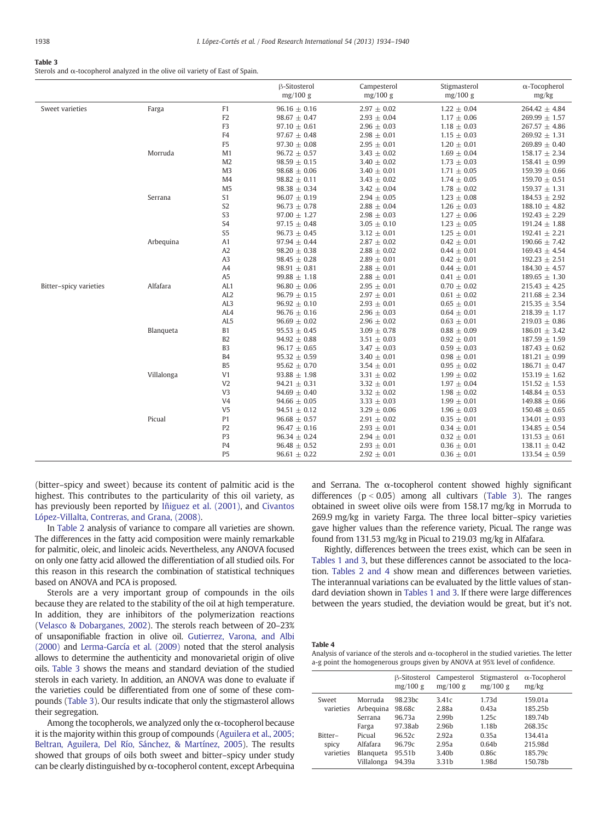#### Table 3

Sterols and α-tocopherol analyzed in the olive oil variety of East of Spain.

|                        |            |                 | <b>B-Sitosterol</b><br>mg/100 g | Campesterol<br>mg/100 g | Stigmasterol<br>mg/100 g | $\alpha$ -Tocopherol<br>mg/kg |
|------------------------|------------|-----------------|---------------------------------|-------------------------|--------------------------|-------------------------------|
| Sweet varieties        | Farga      | F1              | $96.16 \pm 0.16$                | $2.97 \pm 0.02$         | $1.22 \pm 0.04$          | $264.42 \pm 4.84$             |
|                        |            | F <sub>2</sub>  | $98.67 \pm 0.47$                | $2.93 \pm 0.04$         | $1.17 \pm 0.06$          | $269.99 \pm 1.57$             |
|                        |            | F3              | $97.10 \pm 0.61$                | $2.96 \pm 0.03$         | $1.18 \pm 0.03$          | $267.57 \pm 4.86$             |
|                        |            | F4              | $97.67 \pm 0.48$                | $2.98 \pm 0.01$         | $1.15 \pm 0.03$          | $269.92 \pm 1.31$             |
|                        |            | F <sub>5</sub>  | $97.30 \pm 0.08$                | $2.95 \pm 0.01$         | $1.20 \pm 0.01$          | 269.89 $\pm$ 0.40             |
|                        | Morruda    | M1              | $96.72 \pm 0.57$                | $3.43 \pm 0.02$         | $1.69 \pm 0.04$          | $158.17 \pm 2.34$             |
|                        |            | M <sub>2</sub>  | $98.59 \pm 0.15$                | $3.40 \pm 0.02$         | $1.73 \pm 0.03$          | $158.41 \pm 0.99$             |
|                        |            | M <sub>3</sub>  | $98.68 \pm 0.06$                | $3.40 \pm 0.01$         | $1.71 \pm 0.05$          | $159.39 \pm 0.66$             |
|                        |            | M <sub>4</sub>  | $98.82 \pm 0.11$                | $3.43 \pm 0.02$         | $1.74 \pm 0.05$          | $159.70 \pm 0.51$             |
|                        |            | M <sub>5</sub>  | $98.38 \pm 0.34$                | $3.42 \pm 0.04$         | $1.78 \pm 0.02$          | $159.37 \pm 1.31$             |
|                        | Serrana    | S1              | $96.07 \pm 0.19$                | $2.94 \pm 0.05$         | $1.23 \pm 0.08$          | $184.53 \pm 2.92$             |
|                        |            | S <sub>2</sub>  | $96.73 \pm 0.78$                | $2.88 \pm 0.04$         | $1.26 \pm 0.03$          | $188.10 \pm 4.82$             |
|                        |            | S <sub>3</sub>  | $97.00 \pm 1.27$                | $2.98 \pm 0.03$         | $1.27 \pm 0.06$          | $192.43 \pm 2.29$             |
|                        |            | S4              | $97.15 \pm 0.48$                | $3.05 \pm 0.10$         | $1.23 \pm 0.05$          | $191.24 \pm 1.88$             |
|                        |            | S <sub>5</sub>  | $96.73 \pm 0.45$                | $3.12 \pm 0.01$         | $1.25 \pm 0.01$          | $192.41 \pm 2.21$             |
|                        | Arbequina  | A1              | $97.94 \pm 0.44$                | $2.87 \pm 0.02$         | $0.42 \pm 0.01$          | $190.66 \pm 7.42$             |
|                        |            | A2              | $98.20 \pm 0.38$                | $2.88 \pm 0.02$         | $0.44 \pm 0.01$          | $169.43 \pm 4.54$             |
|                        |            | A <sub>3</sub>  | $98.45 \pm 0.28$                | $2.89 \pm 0.01$         | $0.42 \pm 0.01$          | $192.23 \pm 2.51$             |
|                        |            | A4              | $98.91 \pm 0.81$                | $2.88 \pm 0.01$         | $0.44 \pm 0.01$          | $184.30 \pm 4.57$             |
|                        |            | A <sub>5</sub>  | $99.88 \pm 1.18$                | $2.88 \pm 0.01$         | $0.41 \pm 0.01$          | $189.65 \pm 1.30$             |
| Bitter-spicy varieties | Alfafara   | AL1             | $96.80 \pm 0.06$                | $2.95 \pm 0.01$         | $0.70 \pm 0.02$          | $215.43 \pm 4.25$             |
|                        |            | AL <sub>2</sub> | $96.79 \pm 0.15$                | $2.97\,\pm\,0.01$       | $0.61 \pm 0.02$          | $211.68 \pm 2.34$             |
|                        |            | AL3             | $96.92 \pm 0.10$                | $2.93 \pm 0.01$         | $0.65 \pm 0.01$          | $215.35 \pm 3.54$             |
|                        |            | AL4             | $96.76 \pm 0.16$                | $2.96 \pm 0.03$         | $0.64 \pm 0.01$          | $218.39 \pm 1.17$             |
|                        |            | AL5             | $96.69 \pm 0.02$                | $2.96 \pm 0.02$         | $0.63 \pm 0.01$          | $219.03 \pm 0.86$             |
|                        | Blanqueta  | B1              | $95.53 \pm 0.45$                | $3.09\,\pm\,0.78$       | $0.88 \pm 0.09$          | $186.01 \pm 3.42$             |
|                        |            | B <sub>2</sub>  | $94.92 \pm 0.88$                | $3.51 \pm 0.03$         | $0.92 \pm 0.01$          | $187.59 \pm 1.59$             |
|                        |            | B <sub>3</sub>  | $96.17 \pm 0.65$                | $3.47 \pm 0.03$         | $0.59 \pm 0.03$          | $187.43 \pm 0.62$             |
|                        |            | <b>B4</b>       | $95.32 \pm 0.59$                | $3.40 \pm 0.01$         | $0.98 \pm 0.01$          | $181.21 \pm 0.99$             |
|                        |            | B <sub>5</sub>  | $95.62 \pm 0.70$                | $3.54 \pm 0.01$         | $0.95 \pm 0.02$          | $186.71 \pm 0.47$             |
|                        | Villalonga | V <sub>1</sub>  | $93.88 \pm 1.98$                | $3.31 \pm 0.02$         | $1.99 \pm 0.02$          | $153.19 \pm 1.62$             |
|                        |            | V <sub>2</sub>  | $94.21 \pm 0.31$                | $3.32 \pm 0.01$         | $1.97 \pm 0.04$          | $151.52 \pm 1.53$             |
|                        |            | V3              | $94.69 \pm 0.40$                | $3.32 \pm 0.02$         | $1.98 \pm 0.02$          | 148.84 $\pm$ 0.53             |
|                        |            | V <sub>4</sub>  | $94.66 \pm 0.05$                | $3.33 \pm 0.03$         | $1.99 \pm 0.01$          | $149.88 \pm 0.66$             |
|                        |            | V <sub>5</sub>  | $94.51 \pm 0.12$                | $3.29 \pm 0.06$         | $1.96 \pm 0.03$          | $150.48 \pm 0.65$             |
|                        | Picual     | P <sub>1</sub>  | $96.68 \pm 0.57$                | $2.91 \pm 0.02$         | $0.35 \pm 0.01$          | $134.01 \pm 0.93$             |
|                        |            | P <sub>2</sub>  | $96.47 \pm 0.16$                | $2.93 \pm 0.01$         | $0.34 \pm 0.01$          | $134.85 \pm 0.54$             |
|                        |            | P3              | $96.34 \pm 0.24$                | $2.94 \pm 0.01$         | $0.32 \pm 0.01$          | $131.53 \pm 0.61$             |
|                        |            | P <sub>4</sub>  | $96.48 \pm 0.52$                | $2.93 \pm 0.01$         | $0.36 \pm 0.01$          | $138.11 \pm 0.42$             |
|                        |            | P <sub>5</sub>  | $96.61 \pm 0.22$                | $2.92 \pm 0.01$         | $0.36 \pm 0.01$          | 133.54 $\pm$ 0.59             |

(bitter–spicy and sweet) because its content of palmitic acid is the highest. This contributes to the particularity of this oil variety, as has previously been reported by [Iñiguez et al. \(2001\)](#page-6-0), and [Civantos](#page-6-0) [López-Villalta, Contreras, and Grana, \(2008\)](#page-6-0).

In [Table 2](#page-3-0) analysis of variance to compare all varieties are shown. The differences in the fatty acid composition were mainly remarkable for palmitic, oleic, and linoleic acids. Nevertheless, any ANOVA focused on only one fatty acid allowed the differentiation of all studied oils. For this reason in this research the combination of statistical techniques based on ANOVA and PCA is proposed.

Sterols are a very important group of compounds in the oils because they are related to the stability of the oil at high temperature. In addition, they are inhibitors of the polymerization reactions [\(Velasco & Dobarganes, 2002](#page-6-0)). The sterols reach between of 20–23% of unsaponifiable fraction in olive oil. [Gutierrez, Varona, and Albi](#page-6-0) [\(2000\)](#page-6-0) and [Lerma-García et al. \(2009\)](#page-6-0) noted that the sterol analysis allows to determine the authenticity and monovarietal origin of olive oils. Table 3 shows the means and standard deviation of the studied sterols in each variety. In addition, an ANOVA was done to evaluate if the varieties could be differentiated from one of some of these compounds (Table 3). Our results indicate that only the stigmasterol allows their segregation.

Among the tocopherols, we analyzed only the  $\alpha$ -tocopherol because it is the majority within this group of compounds [\(Aguilera et al., 2005;](#page-6-0) [Beltran, Aguilera, Del Río, Sánchez, & Martínez, 2005](#page-6-0)). The results showed that groups of oils both sweet and bitter–spicy under study can be clearly distinguished by  $\alpha$ -tocopherol content, except Arbequina and Serrana. The  $\alpha$ -tocopherol content showed highly significant differences ( $p < 0.05$ ) among all cultivars (Table 3). The ranges obtained in sweet olive oils were from 158.17 mg/kg in Morruda to 269.9 mg/kg in variety Farga. The three local bitter–spicy varieties gave higher values than the reference variety, Picual. The range was found from 131.53 mg/kg in Picual to 219.03 mg/kg in Alfafara.

Rightly, differences between the trees exist, which can be seen in [Tables 1 and 3,](#page-2-0) but these differences cannot be associated to the location. [Tables 2 and 4](#page-3-0) show mean and differences between varieties. The interannual variations can be evaluated by the little values of standard deviation shown in [Tables 1 and 3](#page-2-0). If there were large differences between the years studied, the deviation would be great, but it's not.

Table 4

Analysis of variance of the sterols and α-tocopherol in the studied varieties. The letter a-g point the homogenerous groups given by ANOVA at 95% level of confidence.

|           |            | β-Sitosterol<br>mg/100 g | Campesterol<br>mg/100 g | Stigmasterol<br>mg/100 g | $\alpha$ -Tocopherol<br>mg/kg |
|-----------|------------|--------------------------|-------------------------|--------------------------|-------------------------------|
| Sweet     | Morruda    | 98.23 <sub>bc</sub>      | 3.41c                   | 1.73d                    | 159.01a                       |
| varieties | Arbequina  | 98.68c                   | 2.88a                   | 0.43a                    | 185.25 <sub>b</sub>           |
|           | Serrana    | 96.73a                   | 2.99 <sub>b</sub>       | 1.25c                    | 189.74 <sub>b</sub>           |
|           | Farga      | 97.38ab                  | 2.96b                   | 1.18 <sub>b</sub>        | 268.35c                       |
| Bitter-   | Picual     | 96.52c                   | 2.92a                   | 0.35a                    | 134.41a                       |
| spicy     | Alfafara   | 96.79c                   | 2.95a                   | 0.64 <sub>b</sub>        | 215.98d                       |
| varieties | Blanqueta  | 95.51 <sub>b</sub>       | 3.40b                   | 0.86c                    | 185.79c                       |
|           | Villalonga | 94.39a                   | 3.31 <sub>b</sub>       | 1.98d                    | 150.78b                       |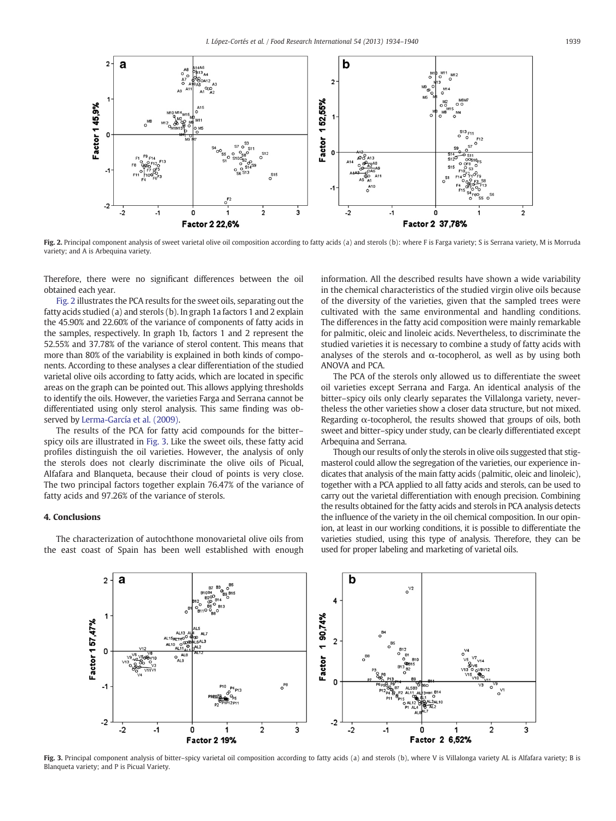

Fig. 2. Principal component analysis of sweet varietal olive oil composition according to fatty acids (a) and sterols (b): where F is Farga variety; S is Serrana variety, M is Morruda variety; and A is Arbequina variety.

Therefore, there were no significant differences between the oil obtained each year.

Fig. 2 illustrates the PCA results for the sweet oils, separating out the fatty acids studied (a) and sterols (b). In graph 1a factors 1 and 2 explain the 45.90% and 22.60% of the variance of components of fatty acids in the samples, respectively. In graph 1b, factors 1 and 2 represent the 52.55% and 37.78% of the variance of sterol content. This means that more than 80% of the variability is explained in both kinds of components. According to these analyses a clear differentiation of the studied varietal olive oils according to fatty acids, which are located in specific areas on the graph can be pointed out. This allows applying thresholds to identify the oils. However, the varieties Farga and Serrana cannot be differentiated using only sterol analysis. This same finding was observed by [Lerma-García et al. \(2009\).](#page-6-0)

The results of the PCA for fatty acid compounds for the bitter– spicy oils are illustrated in Fig. 3. Like the sweet oils, these fatty acid profiles distinguish the oil varieties. However, the analysis of only the sterols does not clearly discriminate the olive oils of Picual, Alfafara and Blanqueta, because their cloud of points is very close. The two principal factors together explain 76.47% of the variance of fatty acids and 97.26% of the variance of sterols.

### 4. Conclusions

The characterization of autochthone monovarietal olive oils from the east coast of Spain has been well established with enough information. All the described results have shown a wide variability in the chemical characteristics of the studied virgin olive oils because of the diversity of the varieties, given that the sampled trees were cultivated with the same environmental and handling conditions. The differences in the fatty acid composition were mainly remarkable for palmitic, oleic and linoleic acids. Nevertheless, to discriminate the studied varieties it is necessary to combine a study of fatty acids with analyses of the sterols and  $\alpha$ -tocopherol, as well as by using both ANOVA and PCA.

The PCA of the sterols only allowed us to differentiate the sweet oil varieties except Serrana and Farga. An identical analysis of the bitter–spicy oils only clearly separates the Villalonga variety, nevertheless the other varieties show a closer data structure, but not mixed. Regarding α-tocopherol, the results showed that groups of oils, both sweet and bitter–spicy under study, can be clearly differentiated except Arbequina and Serrana.

Though our results of only the sterols in olive oils suggested that stigmasterol could allow the segregation of the varieties, our experience indicates that analysis of the main fatty acids (palmitic, oleic and linoleic), together with a PCA applied to all fatty acids and sterols, can be used to carry out the varietal differentiation with enough precision. Combining the results obtained for the fatty acids and sterols in PCA analysis detects the influence of the variety in the oil chemical composition. In our opinion, at least in our working conditions, it is possible to differentiate the varieties studied, using this type of analysis. Therefore, they can be used for proper labeling and marketing of varietal oils.



Fig. 3. Principal component analysis of bitter-spicy varietal oil composition according to fatty acids (a) and sterols (b), where V is Villalonga variety AL is Alfafara variety; B is Blanqueta variety; and P is Picual Variety.